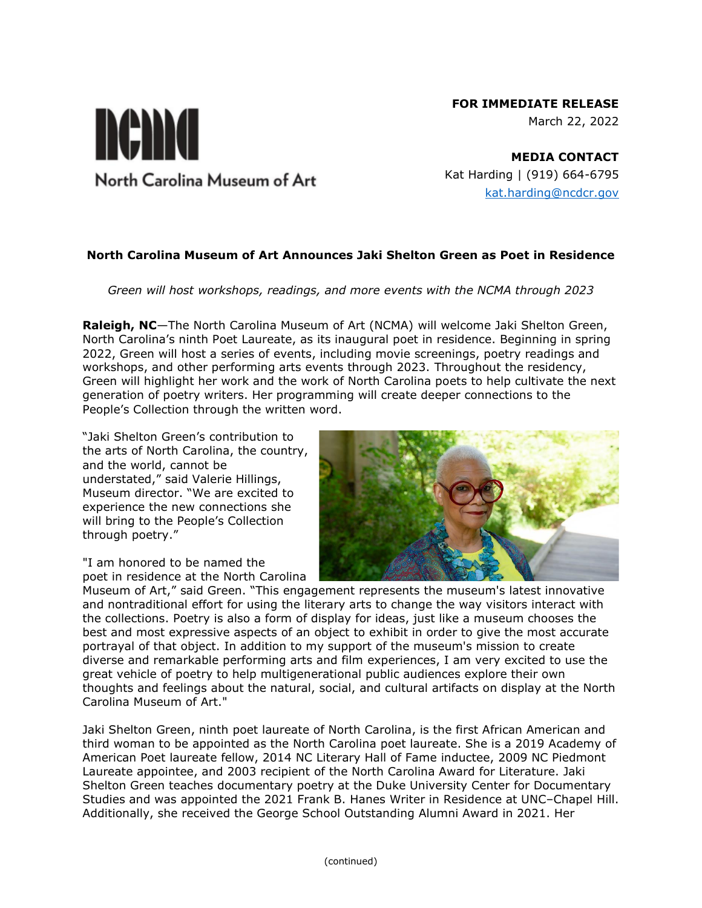# **FOR IMMEDIATE RELEASE**

March 22, 2022

**MEDIA CONTACT** Kat Harding | (919) 664-6795 [kat.harding@ncdcr.gov](mailto:kat.harding@ncdcr.gov)

### **North Carolina Museum of Art Announces Jaki Shelton Green as Poet in Residence**

*Green will host workshops, readings, and more events with the NCMA through 2023*

**Raleigh, NC**—The North Carolina Museum of Art (NCMA) will welcome Jaki Shelton Green, North Carolina's ninth Poet Laureate, as its inaugural poet in residence. Beginning in spring 2022, Green will host a series of events, including movie screenings, poetry readings and workshops, and other performing arts events through 2023. Throughout the residency, Green will highlight her work and the work of North Carolina poets to help cultivate the next generation of poetry writers. Her programming will create deeper connections to the People's Collection through the written word.

"Jaki Shelton Green's contribution to the arts of North Carolina, the country, and the world, cannot be understated," said Valerie Hillings, Museum director. "We are excited to experience the new connections she will bring to the People's Collection through poetry."

"I am honored to be named the poet in residence at the North Carolina



Museum of Art," said Green. "This engagement represents the museum's latest innovative and nontraditional effort for using the literary arts to change the way visitors interact with the collections. Poetry is also a form of display for ideas, just like a museum chooses the best and most expressive aspects of an object to exhibit in order to give the most accurate portrayal of that object. In addition to my support of the museum's mission to create diverse and remarkable performing arts and film experiences, I am very excited to use the great vehicle of poetry to help multigenerational public audiences explore their own thoughts and feelings about the natural, social, and cultural artifacts on display at the North Carolina Museum of Art."

Jaki Shelton Green, ninth poet laureate of North Carolina, is the first African American and third woman to be appointed as the North Carolina poet laureate. She is a 2019 Academy of American Poet laureate fellow, 2014 NC Literary Hall of Fame inductee, 2009 NC Piedmont Laureate appointee, and 2003 recipient of the North Carolina Award for Literature. Jaki Shelton Green teaches documentary poetry at the Duke University Center for Documentary Studies and was appointed the 2021 Frank B. Hanes Writer in Residence at UNC–Chapel Hill. Additionally, she received the George School Outstanding Alumni Award in 2021. Her

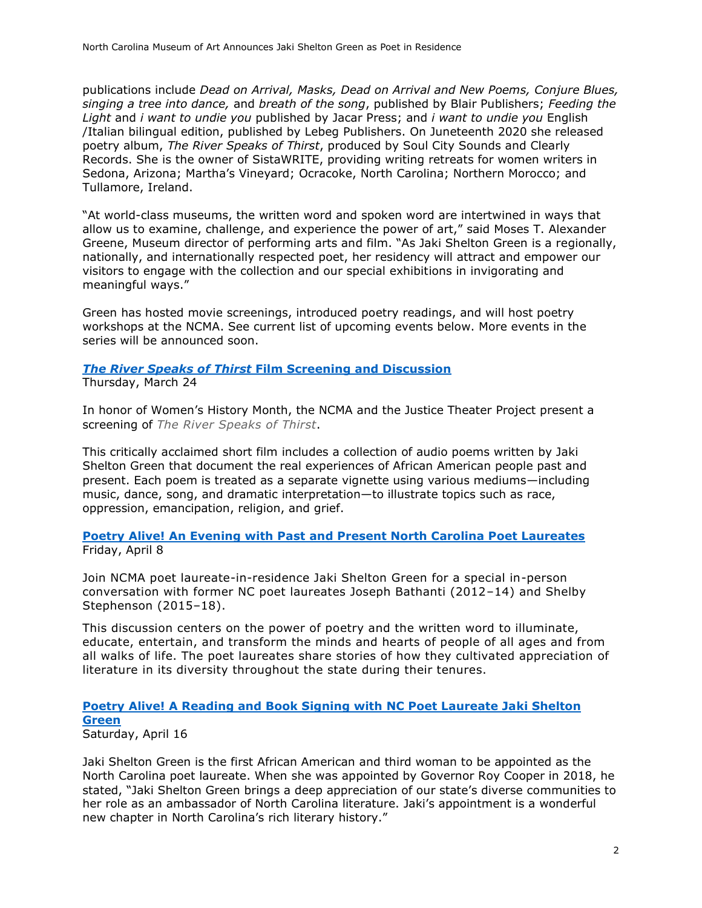publications include *Dead on Arrival, Masks, Dead on Arrival and New Poems, Conjure Blues, singing a tree into dance,* and *breath of the song*, published by Blair Publishers; *Feeding the Light* and *i want to undie you* published by Jacar Press; and *i want to undie you* English /Italian bilingual edition, published by Lebeg Publishers. On Juneteenth 2020 she released poetry album, *The River Speaks of Thirst*, produced by Soul City Sounds and Clearly Records. She is the owner of SistaWRITE, providing writing retreats for women writers in Sedona, Arizona; Martha's Vineyard; Ocracoke, North Carolina; Northern Morocco; and Tullamore, Ireland.

"At world-class museums, the written word and spoken word are intertwined in ways that allow us to examine, challenge, and experience the power of art," said Moses T. Alexander Greene, Museum director of performing arts and film. "As Jaki Shelton Green is a regionally, nationally, and internationally respected poet, her residency will attract and empower our visitors to engage with the collection and our special exhibitions in invigorating and meaningful ways."

Green has hosted movie screenings, introduced poetry readings, and will host poetry workshops at the NCMA. See current list of upcoming events below. More events in the series will be announced soon.

## *The River Speaks of Thirst* **[Film Screening and Discussion](https://ncartmuseum.org/events/the-river-speaks-of-thirst-film-screening-and-discussion/)**

Thursday, March 24

In honor of Women's History Month, the NCMA and the Justice Theater Project present a screening of *The River Speaks of Thirst*.

This critically acclaimed short film includes a collection of audio poems written by Jaki Shelton Green that document the real experiences of African American people past and present. Each poem is treated as a separate vignette using various mediums—including music, dance, song, and dramatic interpretation—to illustrate topics such as race, oppression, emancipation, religion, and grief.

#### **Poetry Alive! An Evening with Past [and Present North Carolina Poet Laureates](https://ncartmuseum.org/events/poetry-alive-an-evening-with-past-and-present-north-carolina-poet-laureates/)** Friday, April 8

Join NCMA poet laureate-in-residence Jaki Shelton Green for a special in-person conversation with former NC poet laureates Joseph Bathanti (2012–14) and Shelby Stephenson (2015–18).

This discussion centers on the power of poetry and the written word to illuminate, educate, entertain, and transform the minds and hearts of people of all ages and from all walks of life. The poet laureates share stories of how they cultivated appreciation of literature in its diversity throughout the state during their tenures.

## **[Poetry Alive! A Reading and Book Signing with NC Poet Laureate Jaki Shelton](https://ncartmuseum.org/events/poetry-alive-a-reading-and-book-signing-with-nc-poet-laureate-jaki-shelton-green/)  [Green](https://ncartmuseum.org/events/poetry-alive-a-reading-and-book-signing-with-nc-poet-laureate-jaki-shelton-green/)**

Saturday, April 16

Jaki Shelton Green is the first African American and third woman to be appointed as the North Carolina poet laureate. When she was appointed by Governor Roy Cooper in 2018, he stated, "Jaki Shelton Green brings a deep appreciation of our state's diverse communities to her role as an ambassador of North Carolina literature. Jaki's appointment is a wonderful new chapter in North Carolina's rich literary history."